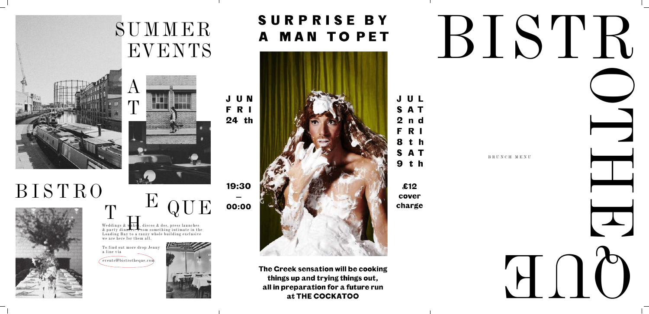BISTRO



Weddings & wakes, discos & dos, press launches & party dinners. From something intimate in the Loading Bay to a razzy whole building exclusive we are here for them all.

 $\mathbf E$ 

# BIST ROTHE

- JUL S A T n d F R I 8 t h S A T
- $£12$ cover charge

To find out more drop Jenny a line via

events@bistrotheque.com



# SURPRISE BY A MAN TO PET



The Creek sensation will be cooking things up and trying things out, all in preparation for a future run at THE COCKATOO



JUN FRI 24 th



# SUMMER EVENTS

- BRUNCH MENU
- 
- - E  $\begin{bmatrix} \phantom{-} \end{bmatrix}$ Q
		-